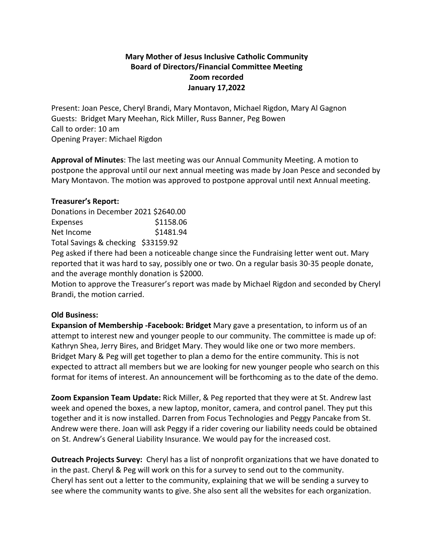## **Mary Mother of Jesus Inclusive Catholic Community Board of Directors/Financial Committee Meeting Zoom recorded January 17,2022**

Present: Joan Pesce, Cheryl Brandi, Mary Montavon, Michael Rigdon, Mary Al Gagnon Guests: Bridget Mary Meehan, Rick Miller, Russ Banner, Peg Bowen Call to order: 10 am Opening Prayer: Michael Rigdon

**Approval of Minutes**: The last meeting was our Annual Community Meeting. A motion to postpone the approval until our next annual meeting was made by Joan Pesce and seconded by Mary Montavon. The motion was approved to postpone approval until next Annual meeting.

## **Treasurer's Report:**

| Donations in December 2021 \$2640.00 |           |
|--------------------------------------|-----------|
| Expenses                             | \$1158.06 |
| Net Income                           | \$1481.94 |
| Total Savings & checking \$33159.92  |           |

Peg asked if there had been a noticeable change since the Fundraising letter went out. Mary reported that it was hard to say, possibly one or two. On a regular basis 30-35 people donate, and the average monthly donation is \$2000.

Motion to approve the Treasurer's report was made by Michael Rigdon and seconded by Cheryl Brandi, the motion carried.

## **Old Business:**

**Expansion of Membership -Facebook: Bridget** Mary gave a presentation, to inform us of an attempt to interest new and younger people to our community. The committee is made up of: Kathryn Shea, Jerry Bires, and Bridget Mary. They would like one or two more members. Bridget Mary & Peg will get together to plan a demo for the entire community. This is not expected to attract all members but we are looking for new younger people who search on this format for items of interest. An announcement will be forthcoming as to the date of the demo.

**Zoom Expansion Team Update:** Rick Miller, & Peg reported that they were at St. Andrew last week and opened the boxes, a new laptop, monitor, camera, and control panel. They put this together and it is now installed. Darren from Focus Technologies and Peggy Pancake from St. Andrew were there. Joan will ask Peggy if a rider covering our liability needs could be obtained on St. Andrew's General Liability Insurance. We would pay for the increased cost.

**Outreach Projects Survey:** Cheryl has a list of nonprofit organizations that we have donated to in the past. Cheryl & Peg will work on this for a survey to send out to the community. Cheryl has sent out a letter to the community, explaining that we will be sending a survey to see where the community wants to give. She also sent all the websites for each organization.